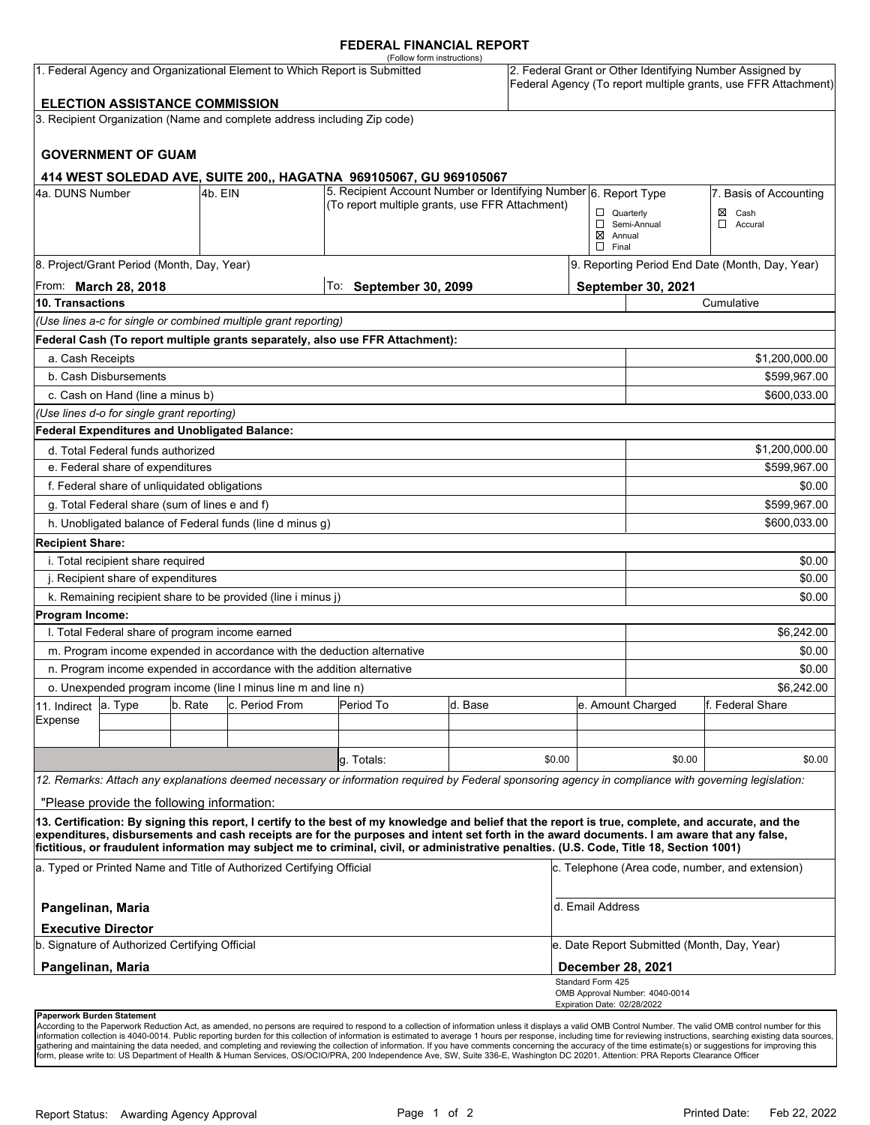#### **FEDERAL FINANCIAL REPORT**

|                                                                                                                                                                                                                   |                                                               |         |                                                                          | (Follow form instructions)                                                                                                                                                                                                                                                                         |                        |                                                                                                                            |                                                 |                                |                   |  |
|-------------------------------------------------------------------------------------------------------------------------------------------------------------------------------------------------------------------|---------------------------------------------------------------|---------|--------------------------------------------------------------------------|----------------------------------------------------------------------------------------------------------------------------------------------------------------------------------------------------------------------------------------------------------------------------------------------------|------------------------|----------------------------------------------------------------------------------------------------------------------------|-------------------------------------------------|--------------------------------|-------------------|--|
| 1. Federal Agency and Organizational Element to Which Report is Submitted                                                                                                                                         |                                                               |         |                                                                          |                                                                                                                                                                                                                                                                                                    |                        | 2. Federal Grant or Other Identifying Number Assigned by<br>Federal Agency (To report multiple grants, use FFR Attachment) |                                                 |                                |                   |  |
| <b>ELECTION ASSISTANCE COMMISSION</b>                                                                                                                                                                             |                                                               |         |                                                                          |                                                                                                                                                                                                                                                                                                    |                        |                                                                                                                            |                                                 |                                |                   |  |
|                                                                                                                                                                                                                   |                                                               |         | 3. Recipient Organization (Name and complete address including Zip code) |                                                                                                                                                                                                                                                                                                    |                        |                                                                                                                            |                                                 |                                |                   |  |
|                                                                                                                                                                                                                   | <b>GOVERNMENT OF GUAM</b>                                     |         |                                                                          |                                                                                                                                                                                                                                                                                                    |                        |                                                                                                                            |                                                 |                                |                   |  |
|                                                                                                                                                                                                                   |                                                               |         |                                                                          | 414 WEST SOLEDAD AVE, SUITE 200,, HAGATNA 969105067, GU 969105067                                                                                                                                                                                                                                  |                        |                                                                                                                            |                                                 |                                |                   |  |
| 5. Recipient Account Number or Identifying Number 6. Report Type<br>4a. DUNS Number<br>4b. EIN                                                                                                                    |                                                               |         |                                                                          |                                                                                                                                                                                                                                                                                                    |                        |                                                                                                                            | 7. Basis of Accounting                          |                                |                   |  |
| (To report multiple grants, use FFR Attachment)                                                                                                                                                                   |                                                               |         |                                                                          |                                                                                                                                                                                                                                                                                                    |                        |                                                                                                                            | $\Box$ Quarterly                                |                                | $\boxtimes$ Cash  |  |
|                                                                                                                                                                                                                   |                                                               |         |                                                                          |                                                                                                                                                                                                                                                                                                    |                        |                                                                                                                            | $\boxtimes$ Annual                              | Semi-Annual                    | ◻<br>Accural      |  |
|                                                                                                                                                                                                                   |                                                               |         |                                                                          |                                                                                                                                                                                                                                                                                                    |                        |                                                                                                                            | $\Box$ Final                                    |                                |                   |  |
|                                                                                                                                                                                                                   | 8. Project/Grant Period (Month, Day, Year)                    |         |                                                                          |                                                                                                                                                                                                                                                                                                    |                        |                                                                                                                            | 9. Reporting Period End Date (Month, Day, Year) |                                |                   |  |
|                                                                                                                                                                                                                   | From: <b>March 28, 2018</b>                                   |         |                                                                          |                                                                                                                                                                                                                                                                                                    | To: September 30, 2099 |                                                                                                                            |                                                 | September 30, 2021             |                   |  |
| 10. Transactions                                                                                                                                                                                                  |                                                               |         |                                                                          |                                                                                                                                                                                                                                                                                                    |                        |                                                                                                                            | Cumulative                                      |                                |                   |  |
|                                                                                                                                                                                                                   |                                                               |         | (Use lines a-c for single or combined multiple grant reporting)          |                                                                                                                                                                                                                                                                                                    |                        |                                                                                                                            |                                                 |                                |                   |  |
|                                                                                                                                                                                                                   |                                                               |         |                                                                          | Federal Cash (To report multiple grants separately, also use FFR Attachment):                                                                                                                                                                                                                      |                        |                                                                                                                            |                                                 |                                |                   |  |
| a. Cash Receipts<br>\$1,200,000.00                                                                                                                                                                                |                                                               |         |                                                                          |                                                                                                                                                                                                                                                                                                    |                        |                                                                                                                            |                                                 |                                |                   |  |
| b. Cash Disbursements                                                                                                                                                                                             |                                                               |         |                                                                          |                                                                                                                                                                                                                                                                                                    |                        |                                                                                                                            | \$599,967.00                                    |                                |                   |  |
| c. Cash on Hand (line a minus b)                                                                                                                                                                                  |                                                               |         |                                                                          |                                                                                                                                                                                                                                                                                                    |                        |                                                                                                                            |                                                 |                                | \$600.033.00      |  |
| (Use lines d-o for single grant reporting)                                                                                                                                                                        |                                                               |         |                                                                          |                                                                                                                                                                                                                                                                                                    |                        |                                                                                                                            |                                                 |                                |                   |  |
|                                                                                                                                                                                                                   | <b>Federal Expenditures and Unobligated Balance:</b>          |         |                                                                          |                                                                                                                                                                                                                                                                                                    |                        |                                                                                                                            |                                                 |                                |                   |  |
| d. Total Federal funds authorized                                                                                                                                                                                 |                                                               |         |                                                                          |                                                                                                                                                                                                                                                                                                    |                        |                                                                                                                            |                                                 |                                | \$1,200,000.00    |  |
| e. Federal share of expenditures<br>\$599,967.00                                                                                                                                                                  |                                                               |         |                                                                          |                                                                                                                                                                                                                                                                                                    |                        |                                                                                                                            |                                                 |                                |                   |  |
|                                                                                                                                                                                                                   | f. Federal share of unliquidated obligations                  |         |                                                                          |                                                                                                                                                                                                                                                                                                    |                        |                                                                                                                            |                                                 |                                | \$0.00            |  |
| g. Total Federal share (sum of lines e and f)<br>\$599,967.00                                                                                                                                                     |                                                               |         |                                                                          |                                                                                                                                                                                                                                                                                                    |                        |                                                                                                                            |                                                 |                                |                   |  |
|                                                                                                                                                                                                                   |                                                               |         | h. Unobligated balance of Federal funds (line d minus g)                 |                                                                                                                                                                                                                                                                                                    |                        |                                                                                                                            |                                                 |                                | \$600,033.00      |  |
| <b>Recipient Share:</b>                                                                                                                                                                                           |                                                               |         |                                                                          |                                                                                                                                                                                                                                                                                                    |                        |                                                                                                                            |                                                 |                                |                   |  |
|                                                                                                                                                                                                                   | i. Total recipient share required                             |         |                                                                          |                                                                                                                                                                                                                                                                                                    |                        |                                                                                                                            |                                                 |                                | \$0.00            |  |
| j. Recipient share of expenditures                                                                                                                                                                                |                                                               |         |                                                                          |                                                                                                                                                                                                                                                                                                    |                        |                                                                                                                            |                                                 |                                | \$0.00            |  |
|                                                                                                                                                                                                                   |                                                               |         | k. Remaining recipient share to be provided (line i minus j)             |                                                                                                                                                                                                                                                                                                    |                        |                                                                                                                            |                                                 |                                | \$0.00            |  |
| <b>Program Income:</b>                                                                                                                                                                                            |                                                               |         |                                                                          |                                                                                                                                                                                                                                                                                                    |                        |                                                                                                                            |                                                 |                                |                   |  |
|                                                                                                                                                                                                                   | I. Total Federal share of program income earned               |         |                                                                          |                                                                                                                                                                                                                                                                                                    |                        |                                                                                                                            |                                                 |                                | \$6,242.00        |  |
| m. Program income expended in accordance with the deduction alternative                                                                                                                                           |                                                               |         |                                                                          |                                                                                                                                                                                                                                                                                                    |                        |                                                                                                                            |                                                 | \$0.00                         |                   |  |
| n. Program income expended in accordance with the addition alternative                                                                                                                                            |                                                               |         |                                                                          |                                                                                                                                                                                                                                                                                                    |                        |                                                                                                                            |                                                 |                                | \$0.00            |  |
|                                                                                                                                                                                                                   | o. Unexpended program income (line I minus line m and line n) |         |                                                                          |                                                                                                                                                                                                                                                                                                    |                        |                                                                                                                            | \$6.242.00                                      |                                |                   |  |
| 11. Indirect                                                                                                                                                                                                      | a. Type                                                       | b. Rate | c. Period From                                                           | Period To                                                                                                                                                                                                                                                                                          | d. Base                |                                                                                                                            |                                                 | e. Amount Charged              | lf. Federal Share |  |
| Expense                                                                                                                                                                                                           |                                                               |         |                                                                          |                                                                                                                                                                                                                                                                                                    |                        |                                                                                                                            |                                                 |                                |                   |  |
|                                                                                                                                                                                                                   |                                                               |         |                                                                          |                                                                                                                                                                                                                                                                                                    |                        |                                                                                                                            |                                                 |                                |                   |  |
|                                                                                                                                                                                                                   |                                                               |         |                                                                          | g. Totals:                                                                                                                                                                                                                                                                                         |                        | \$0.00                                                                                                                     |                                                 | \$0.00                         | \$0.00            |  |
|                                                                                                                                                                                                                   |                                                               |         |                                                                          | 12. Remarks: Attach any explanations deemed necessary or information required by Federal sponsoring agency in compliance with governing legislation:                                                                                                                                               |                        |                                                                                                                            |                                                 |                                |                   |  |
|                                                                                                                                                                                                                   | "Please provide the following information:                    |         |                                                                          |                                                                                                                                                                                                                                                                                                    |                        |                                                                                                                            |                                                 |                                |                   |  |
|                                                                                                                                                                                                                   |                                                               |         |                                                                          | 13. Certification: By signing this report, I certify to the best of my knowledge and belief that the report is true, complete, and accurate, and the<br>expenditures, disbursements and cash receipts are for the purposes and intent set forth in the award documents. I am aware that any false, |                        |                                                                                                                            |                                                 |                                |                   |  |
| fictitious, or fraudulent information may subject me to criminal, civil, or administrative penalties. (U.S. Code, Title 18, Section 1001)<br>a. Typed or Printed Name and Title of Authorized Certifying Official |                                                               |         |                                                                          |                                                                                                                                                                                                                                                                                                    |                        |                                                                                                                            | c. Telephone (Area code, number, and extension) |                                |                   |  |
|                                                                                                                                                                                                                   |                                                               |         |                                                                          |                                                                                                                                                                                                                                                                                                    |                        |                                                                                                                            |                                                 |                                |                   |  |
| Pangelinan, Maria<br><b>Executive Director</b>                                                                                                                                                                    |                                                               |         |                                                                          |                                                                                                                                                                                                                                                                                                    |                        |                                                                                                                            | d. Email Address                                |                                |                   |  |
| b. Signature of Authorized Certifying Official                                                                                                                                                                    |                                                               |         |                                                                          |                                                                                                                                                                                                                                                                                                    |                        |                                                                                                                            | e. Date Report Submitted (Month, Day, Year)     |                                |                   |  |
| Pangelinan, Maria                                                                                                                                                                                                 |                                                               |         |                                                                          |                                                                                                                                                                                                                                                                                                    |                        |                                                                                                                            | <b>December 28, 2021</b>                        |                                |                   |  |
|                                                                                                                                                                                                                   |                                                               |         |                                                                          |                                                                                                                                                                                                                                                                                                    |                        |                                                                                                                            | Standard Form 425                               |                                |                   |  |
|                                                                                                                                                                                                                   |                                                               |         |                                                                          |                                                                                                                                                                                                                                                                                                    |                        |                                                                                                                            | Expiration Date: 02/28/2022                     | OMB Approval Number: 4040-0014 |                   |  |

#### **Paperwork Burden Statement**

According to the Paperwork Reduction Act, as amended, no persons are required to respond to a collection of information unless it displays a valid OMB Control Number. The valid OMB control number for this<br>information colle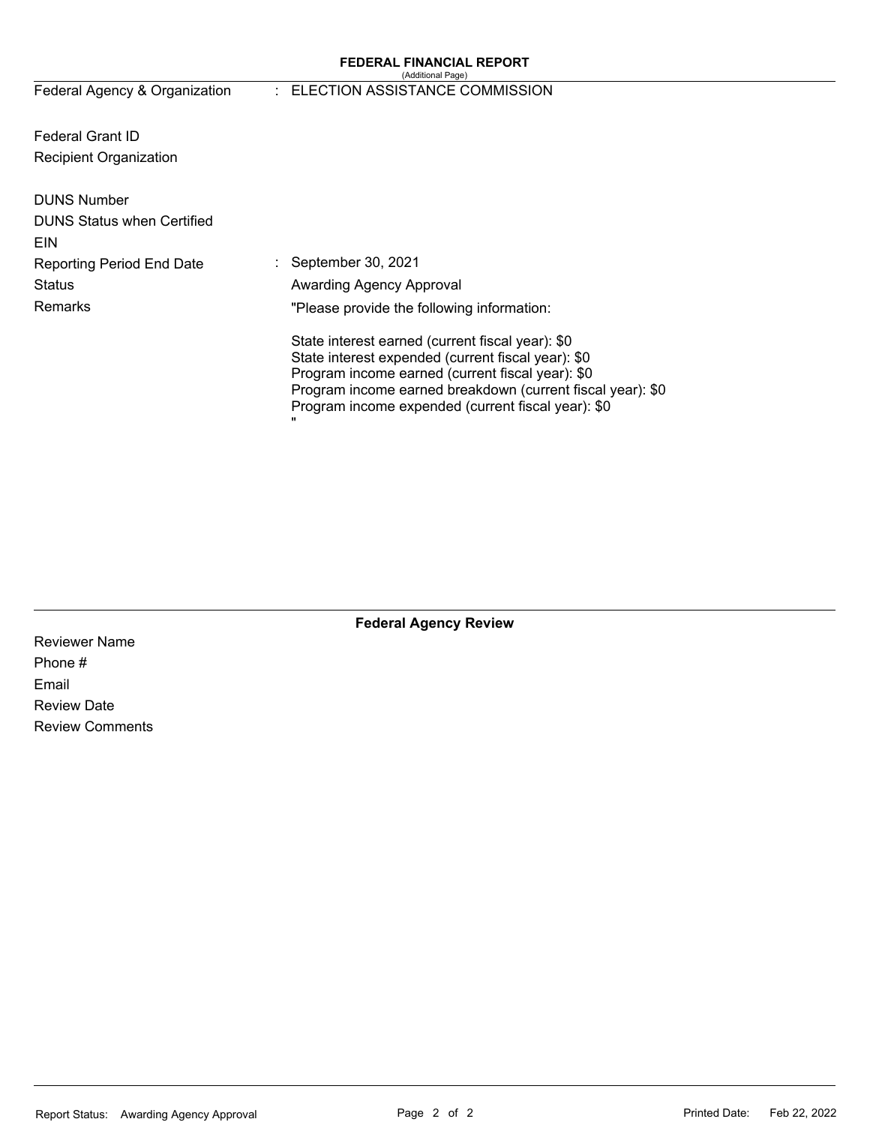#### **FEDERAL FINANCIAL REPORT**  (Additional Page)

## Federal Agency & Organization : ELECTION ASSISTANCE COMMISSION

Federal Grant ID Recipient Organization

| September 30, 2021                                                                                               |
|------------------------------------------------------------------------------------------------------------------|
| Awarding Agency Approval                                                                                         |
| "Please provide the following information:                                                                       |
| State interest earned (current fiscal year): \$0                                                                 |
| State interest expended (current fiscal year): \$0                                                               |
| Program income earned (current fiscal year): \$0                                                                 |
| Program income earned breakdown (current fiscal year): \$0<br>Program income expended (current fiscal year): \$0 |
| π                                                                                                                |
|                                                                                                                  |

**Federal Agency Review** 

Reviewer Name Phone # Email Review Date Review Comments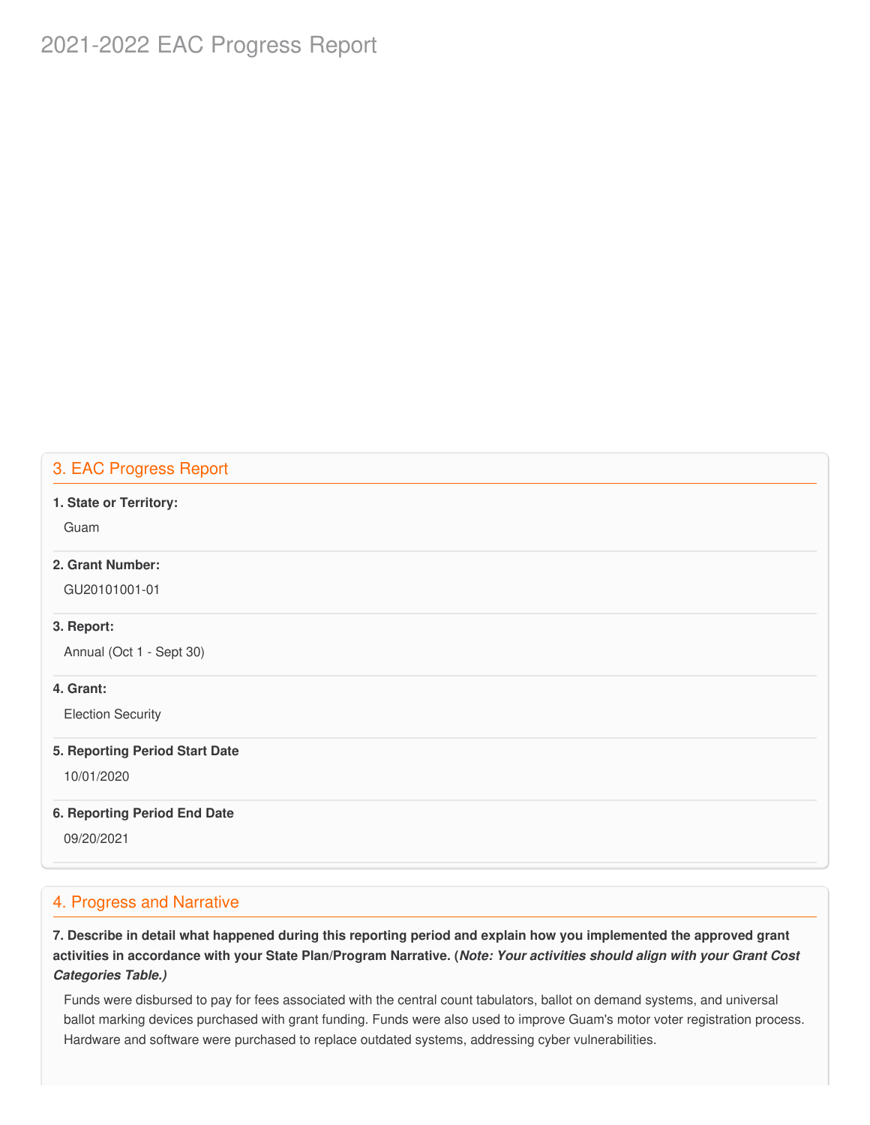## 2021-2022 EAC Progress Report

## 3. EAC Progress Report

#### **1. State or Territory:**

Guam

## **2. Grant Number:**

GU20101001-01

#### **3. Report:**

Annual (Oct 1 - Sept 30)

## **4. Grant:**

Election Security

#### **5. Reporting Period Start Date**

10/01/2020

## **6. Reporting Period End Date**

09/20/2021

## 4. Progress and Narrative

7. Describe in detail what happened during this reporting period and explain how you implemented the approved grant activities in accordance with your State Plan/Program Narrative. (*Note: Your activities should align with your Grant Cost Categories Table.)*

 Funds were disbursed to pay for fees associated with the central count tabulators, ballot on demand systems, and universal ballot marking devices purchased with grant funding. Funds were also used to improve Guam's motor voter registration process. Hardware and software were purchased to replace outdated systems, addressing cyber vulnerabilities.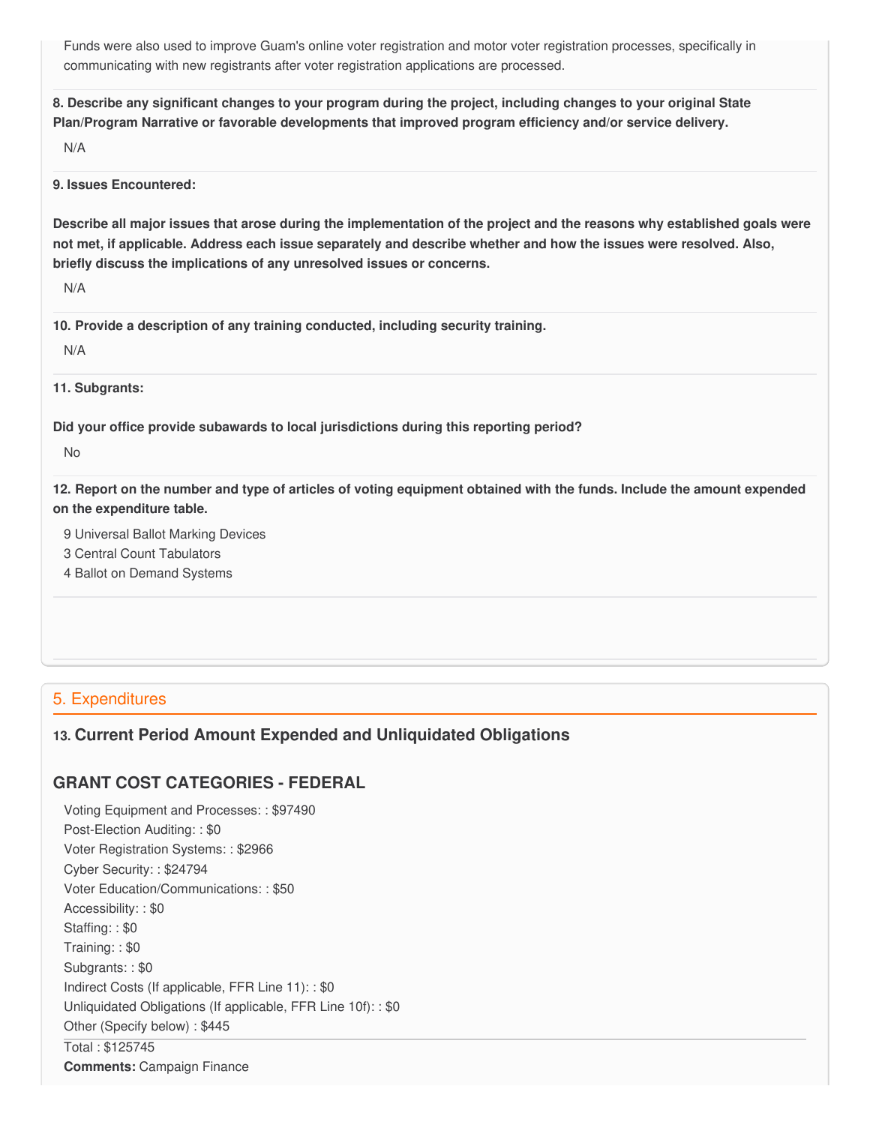Funds were also used to improve Guam's online voter registration and motor voter registration processes, specifically in communicating with new registrants after voter registration applications are processed.

8. Describe any significant changes to your program during the project, including changes to your original State  **Plan/Program Narrative or favorable developments that improved program efficiency and/or service delivery.**

N/A

**9. Issues Encountered:**

Describe all major issues that arose during the implementation of the project and the reasons why established goals were not met, if applicable. Address each issue separately and describe whether and how the issues were resolved. Also,  **briefly discuss the implications of any unresolved issues or concerns.**

N/A

 **10. Provide a description of any training conducted, including security training.**

N/A

**11. Subgrants:**

 **Did your office provide subawards to local jurisdictions during this reporting period?**

No

12. Report on the number and type of articles of voting equipment obtained with the funds. Include the amount expended  **on the expenditure table.**

9 Universal Ballot Marking Devices

3 Central Count Tabulators

4 Ballot on Demand Systems

## 5. Expenditures

## **13. Current Period Amount Expended and Unliquidated Obligations**

## **GRANT COST CATEGORIES - FEDERAL**

 Voting Equipment and Processes: : \$97490 Post-Election Auditing: : \$0 Voter Registration Systems: : \$2966 Cyber Security: : \$24794 Voter Education/Communications: : \$50 Accessibility: : \$0 Staffing: : \$0 Training: : \$0 Subgrants: : \$0 Indirect Costs (If applicable, FFR Line 11): : \$0 Unliquidated Obligations (If applicable, FFR Line 10f): : \$0 Other (Specify below) : \$445 Total : \$125745 **Comments:** Campaign Finance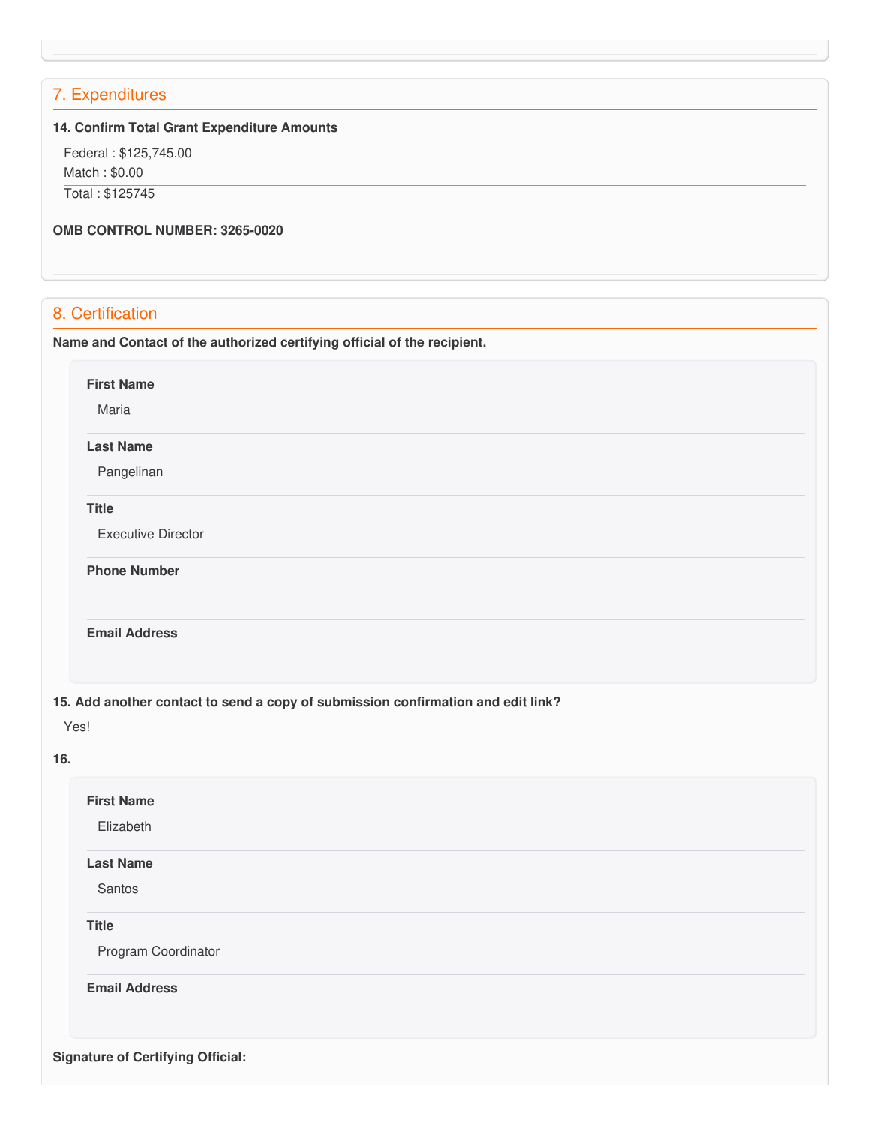## 7. Expenditures

## **14. Confirm Total Grant Expenditure Amounts**

 Federal : \$[125,745.00](https://125,745.00) Match : \$0.00 Total : \$125745

## **OMB CONTROL NUMBER: 3265-0020**

## 8. Certification

 **Name and Contact of the authorized certifying official of the recipient.**

**First Name**

Maria

#### **Last Name**

Pangelinan

#### **Title**

Executive Director

**Phone Number** 

#### **Email Address**

 **15. Add another contact to send a copy of submission confirmation and edit link?**

Yes!

## **16.**

# **Signature of Certifying Official:First Name** Elizabeth **Last Name** Santos **Title** Program Coordinator **Email Address**